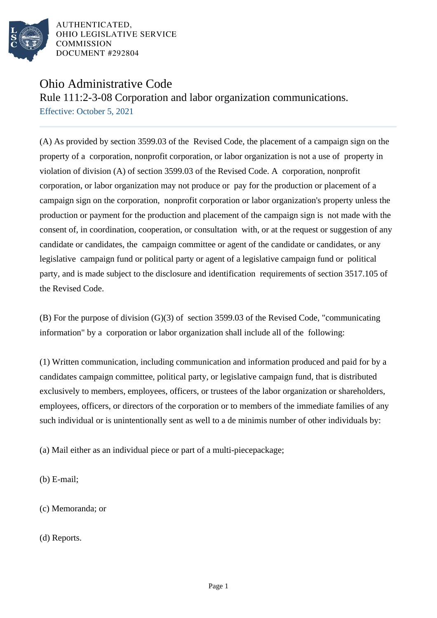

AUTHENTICATED. OHIO LEGISLATIVE SERVICE **COMMISSION** DOCUMENT #292804

## Ohio Administrative Code

Rule 111:2-3-08 Corporation and labor organization communications.

Effective: October 5, 2021

(A) As provided by section 3599.03 of the Revised Code, the placement of a campaign sign on the property of a corporation, nonprofit corporation, or labor organization is not a use of property in violation of division (A) of section 3599.03 of the Revised Code. A corporation, nonprofit corporation, or labor organization may not produce or pay for the production or placement of a campaign sign on the corporation, nonprofit corporation or labor organization's property unless the production or payment for the production and placement of the campaign sign is not made with the consent of, in coordination, cooperation, or consultation with, or at the request or suggestion of any candidate or candidates, the campaign committee or agent of the candidate or candidates, or any legislative campaign fund or political party or agent of a legislative campaign fund or political party, and is made subject to the disclosure and identification requirements of section 3517.105 of the Revised Code.

(B) For the purpose of division (G)(3) of section 3599.03 of the Revised Code, "communicating information" by a corporation or labor organization shall include all of the following:

(1) Written communication, including communication and information produced and paid for by a candidates campaign committee, political party, or legislative campaign fund, that is distributed exclusively to members, employees, officers, or trustees of the labor organization or shareholders, employees, officers, or directors of the corporation or to members of the immediate families of any such individual or is unintentionally sent as well to a de minimis number of other individuals by:

(a) Mail either as an individual piece or part of a multi-piece package;

(b) E-mail;

(c) Memoranda; or

(d) Reports.